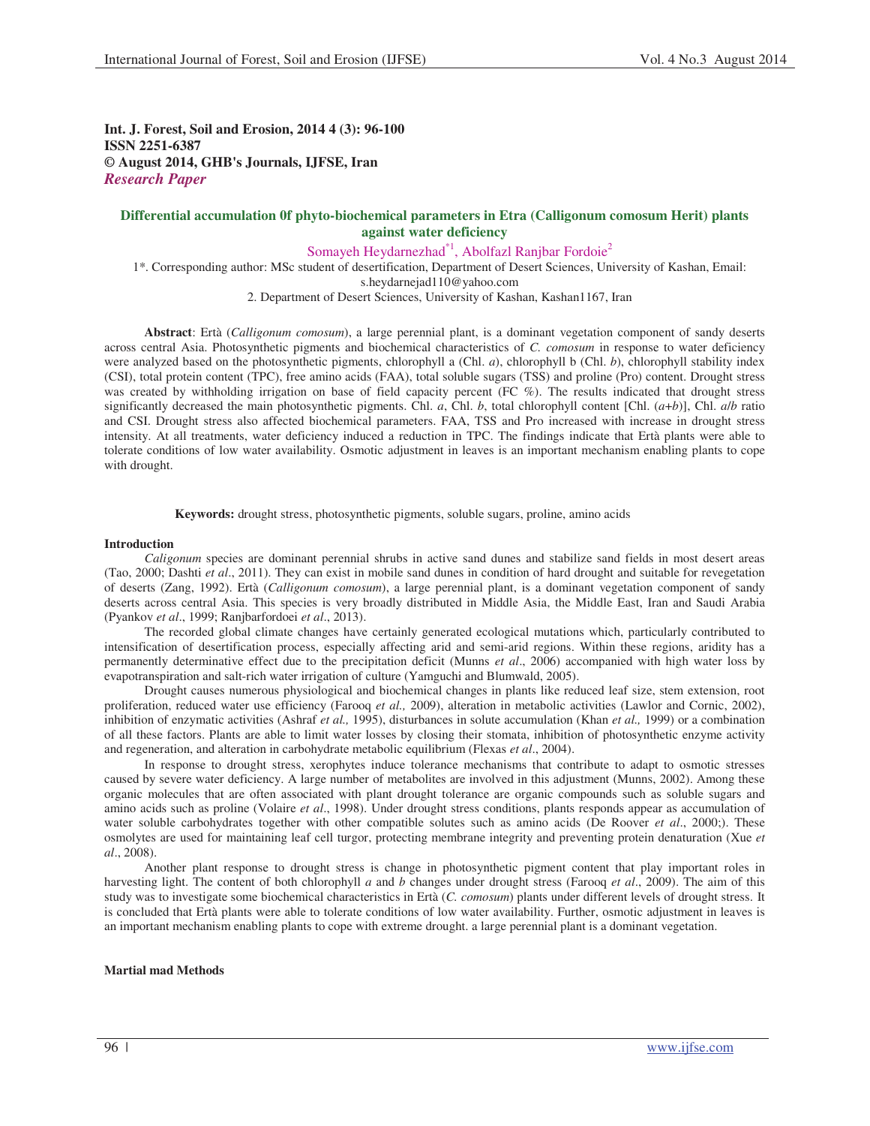**Int. J. Forest, Soil and Erosion, 2014 4 (3): 96-100 ISSN 2251-6387 © August 2014, GHB's Journals, IJFSE, Iran** *Research Paper*

# **Differential accumulation 0f phyto-biochemical parameters in Etra (Calligonum comosum Herit) plants against water deficiency**

Somayeh Heydarnezhad<sup>\*1</sup>, Abolfazl Ranjbar Fordoie<sup>2</sup>

1\*. Corresponding author: MSc student of desertification, Department of Desert Sciences, University of Kashan, Email:

s.heydarnejad110@yahoo.com

2. Department of Desert Sciences, University of Kashan, Kashan1167, Iran

**Abstract**: Ertà (*Calligonum comosum*), a large perennial plant, is a dominant vegetation component of sandy deserts across central Asia. Photosynthetic pigments and biochemical characteristics of *C. comosum* in response to water deficiency were analyzed based on the photosynthetic pigments, chlorophyll a (Chl. *a*), chlorophyll b (Chl. *b*), chlorophyll stability index (CSI), total protein content (TPC), free amino acids (FAA), total soluble sugars (TSS) and proline (Pro) content. Drought stress was created by withholding irrigation on base of field capacity percent (FC %). The results indicated that drought stress significantly decreased the main photosynthetic pigments. Chl. *a*, Chl. *b*, total chlorophyll content [Chl. (*a*+*b*)], Chl. *a*/*b* ratio and CSI. Drought stress also affected biochemical parameters. FAA, TSS and Pro increased with increase in drought stress intensity. At all treatments, water deficiency induced a reduction in TPC. The findings indicate that Ertà plants were able to tolerate conditions of low water availability. Osmotic adjustment in leaves is an important mechanism enabling plants to cope with drought.

**Keywords:** drought stress, photosynthetic pigments, soluble sugars, proline, amino acids

### **Introduction**

*Caligonum* species are dominant perennial shrubs in active sand dunes and stabilize sand fields in most desert areas (Tao, 2000; Dashti *et al*., 2011). They can exist in mobile sand dunes in condition of hard drought and suitable for revegetation of deserts (Zang, 1992). Ertà (*Calligonum comosum*), a large perennial plant, is a dominant vegetation component of sandy deserts across central Asia. This species is very broadly distributed in Middle Asia, the Middle East, Iran and Saudi Arabia (Pyankov *et al*., 1999; Ranjbarfordoei *et al*., 2013).

The recorded global climate changes have certainly generated ecological mutations which, particularly contributed to intensification of desertification process, especially affecting arid and semi-arid regions. Within these regions, aridity has a permanently determinative effect due to the precipitation deficit (Munns *et al*., 2006) accompanied with high water loss by evapotranspiration and salt-rich water irrigation of culture (Yamguchi and Blumwald, 2005).

Drought causes numerous physiological and biochemical changes in plants like reduced leaf size, stem extension, root proliferation, reduced water use efficiency (Farooq *et al.,* 2009), alteration in metabolic activities (Lawlor and Cornic, 2002), inhibition of enzymatic activities (Ashraf *et al.,* 1995), disturbances in solute accumulation (Khan *et al.,* 1999) or a combination of all these factors. Plants are able to limit water losses by closing their stomata, inhibition of photosynthetic enzyme activity and regeneration, and alteration in carbohydrate metabolic equilibrium (Flexas *et al*., 2004).

In response to drought stress, xerophytes induce tolerance mechanisms that contribute to adapt to osmotic stresses caused by severe water deficiency. A large number of metabolites are involved in this adjustment (Munns, 2002). Among these organic molecules that are often associated with plant drought tolerance are organic compounds such as soluble sugars and amino acids such as proline (Volaire *et al*., 1998). Under drought stress conditions, plants responds appear as accumulation of water soluble carbohydrates together with other compatible solutes such as amino acids (De Roover *et al*., 2000;). These osmolytes are used for maintaining leaf cell turgor, protecting membrane integrity and preventing protein denaturation (Xue *et al*., 2008).

Another plant response to drought stress is change in photosynthetic pigment content that play important roles in harvesting light. The content of both chlorophyll *a* and *b* changes under drought stress (Farooq *et al*., 2009). The aim of this study was to investigate some biochemical characteristics in Ertà (*C. comosum*) plants under different levels of drought stress. It is concluded that Ertà plants were able to tolerate conditions of low water availability. Further, osmotic adjustment in leaves is an important mechanism enabling plants to cope with extreme drought. a large perennial plant is a dominant vegetation.

## **Martial mad Methods**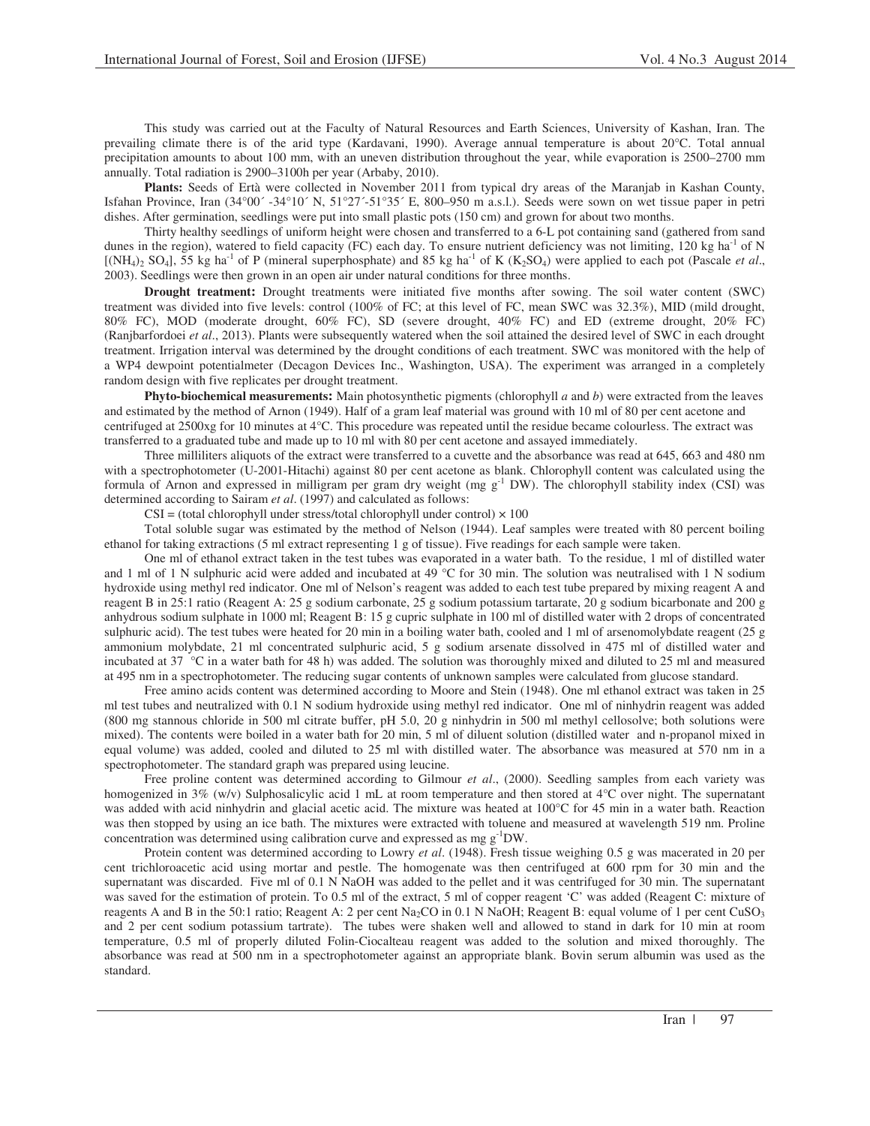This study was carried out at the Faculty of Natural Resources and Earth Sciences, University of Kashan, Iran. The prevailing climate there is of the arid type (Kardavani, 1990). Average annual temperature is about 20°C. Total annual precipitation amounts to about 100 mm, with an uneven distribution throughout the year, while evaporation is 2500–2700 mm annually. Total radiation is 2900–3100h per year (Arbaby, 2010).

**Plants:** Seeds of Ertà were collected in November 2011 from typical dry areas of the Maranjab in Kashan County, Isfahan Province, Iran  $(34^{\circ}00' - 34^{\circ}10' N, 51^{\circ}27' - 51^{\circ}35' E, 800 - 950 m \text{ a.s.}$ ]. Seeds were sown on wet tissue paper in petri dishes. After germination, seedlings were put into small plastic pots (150 cm) and grown for about two months.

Thirty healthy seedlings of uniform height were chosen and transferred to a 6-L pot containing sand (gathered from sand dunes in the region), watered to field capacity (FC) each day. To ensure nutrient deficiency was not limiting, 120 kg ha<sup>-1</sup> of N  $[(NH<sub>4</sub>)<sub>2</sub> SO<sub>4</sub>], 55 kg ha<sup>-1</sup> of P (mineral superphosphate) and 85 kg ha<sup>-1</sup> of K (K<sub>2</sub> SO<sub>4</sub>) were applied to each pot (Pascale *et al.*,$ 2003). Seedlings were then grown in an open air under natural conditions for three months.

**Drought treatment:** Drought treatments were initiated five months after sowing. The soil water content (SWC) treatment was divided into five levels: control (100% of FC; at this level of FC, mean SWC was 32.3%), MID (mild drought, 80% FC), MOD (moderate drought, 60% FC), SD (severe drought, 40% FC) and ED (extreme drought, 20% FC) (Ranjbarfordoei *et al*., 2013). Plants were subsequently watered when the soil attained the desired level of SWC in each drought treatment. Irrigation interval was determined by the drought conditions of each treatment. SWC was monitored with the help of a WP4 dewpoint potentialmeter (Decagon Devices Inc., Washington, USA). The experiment was arranged in a completely random design with five replicates per drought treatment.

**Phyto-biochemical measurements:** Main photosynthetic pigments (chlorophyll *a* and *b*) were extracted from the leaves and estimated by the method of Arnon (1949). Half of a gram leaf material was ground with 10 ml of 80 per cent acetone and centrifuged at 2500xg for 10 minutes at 4°C. This procedure was repeated until the residue became colourless. The extract was transferred to a graduated tube and made up to 10 ml with 80 per cent acetone and assayed immediately.

Three milliliters aliquots of the extract were transferred to a cuvette and the absorbance was read at 645, 663 and 480 nm with a spectrophotometer (U-2001-Hitachi) against 80 per cent acetone as blank. Chlorophyll content was calculated using the formula of Arnon and expressed in milligram per gram dry weight (mg  $g^{-1}$  DW). The chlorophyll stability index (CSI) was determined according to Sairam *et al*. (1997) and calculated as follows:

 $CSI = (total chlorophyll under stress/total chlorophyll under control) \times 100$ 

Total soluble sugar was estimated by the method of Nelson (1944). Leaf samples were treated with 80 percent boiling ethanol for taking extractions (5 ml extract representing 1 g of tissue). Five readings for each sample were taken.

One ml of ethanol extract taken in the test tubes was evaporated in a water bath. To the residue, 1 ml of distilled water and 1 ml of 1 N sulphuric acid were added and incubated at 49  $^{\circ}$ C for 30 min. The solution was neutralised with 1 N sodium hydroxide using methyl red indicator. One ml of Nelson's reagent was added to each test tube prepared by mixing reagent A and reagent B in 25:1 ratio (Reagent A: 25 g sodium carbonate, 25 g sodium potassium tartarate, 20 g sodium bicarbonate and 200 g anhydrous sodium sulphate in 1000 ml; Reagent B: 15 g cupric sulphate in 100 ml of distilled water with 2 drops of concentrated sulphuric acid). The test tubes were heated for 20 min in a boiling water bath, cooled and 1 ml of arsenomolybdate reagent (25 g ammonium molybdate, 21 ml concentrated sulphuric acid, 5 g sodium arsenate dissolved in 475 ml of distilled water and incubated at 37 °C in a water bath for 48 h) was added. The solution was thoroughly mixed and diluted to 25 ml and measured at 495 nm in a spectrophotometer. The reducing sugar contents of unknown samples were calculated from glucose standard.

Free amino acids content was determined according to Moore and Stein (1948). One ml ethanol extract was taken in 25 ml test tubes and neutralized with 0.1 N sodium hydroxide using methyl red indicator. One ml of ninhydrin reagent was added (800 mg stannous chloride in 500 ml citrate buffer, pH 5.0, 20 g ninhydrin in 500 ml methyl cellosolve; both solutions were mixed). The contents were boiled in a water bath for 20 min, 5 ml of diluent solution (distilled water and n-propanol mixed in equal volume) was added, cooled and diluted to 25 ml with distilled water. The absorbance was measured at 570 nm in a spectrophotometer. The standard graph was prepared using leucine.

Free proline content was determined according to Gilmour *et al*., (2000). Seedling samples from each variety was homogenized in 3% (w/v) Sulphosalicylic acid 1 mL at room temperature and then stored at 4°C over night. The supernatant was added with acid ninhydrin and glacial acetic acid. The mixture was heated at 100°C for 45 min in a water bath. Reaction was then stopped by using an ice bath. The mixtures were extracted with toluene and measured at wavelength 519 nm. Proline concentration was determined using calibration curve and expressed as mg g-1DW.

Protein content was determined according to Lowry *et al*. (1948). Fresh tissue weighing 0.5 g was macerated in 20 per cent trichloroacetic acid using mortar and pestle. The homogenate was then centrifuged at 600 rpm for 30 min and the supernatant was discarded. Five ml of 0.1 N NaOH was added to the pellet and it was centrifuged for 30 min. The supernatant was saved for the estimation of protein. To 0.5 ml of the extract, 5 ml of copper reagent 'C' was added (Reagent C: mixture of reagents A and B in the 50:1 ratio; Reagent A: 2 per cent Na<sub>2</sub>CO in 0.1 N NaOH; Reagent B: equal volume of 1 per cent CuSO<sub>3</sub> and 2 per cent sodium potassium tartrate). The tubes were shaken well and allowed to stand in dark for 10 min at room temperature, 0.5 ml of properly diluted Folin-Ciocalteau reagent was added to the solution and mixed thoroughly. The absorbance was read at 500 nm in a spectrophotometer against an appropriate blank. Bovin serum albumin was used as the standard.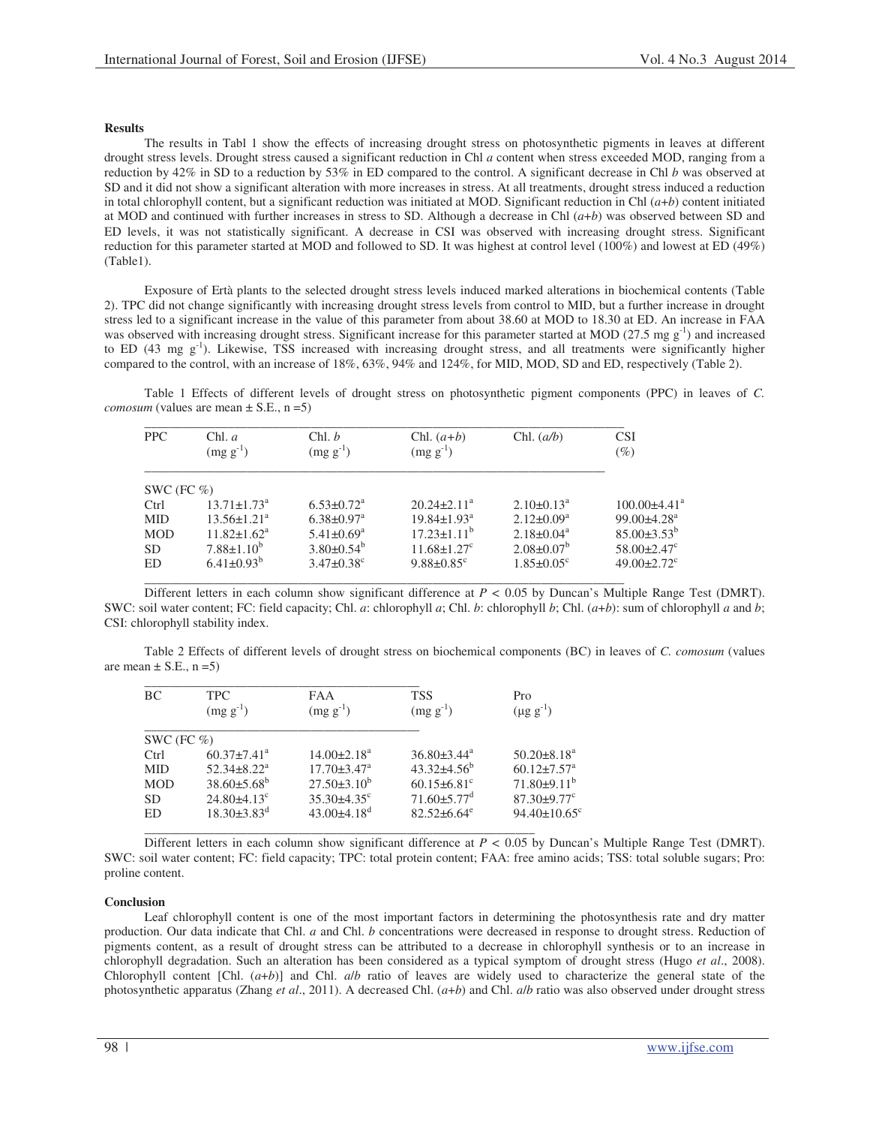## **Results**

The results in Tabl 1 show the effects of increasing drought stress on photosynthetic pigments in leaves at different drought stress levels. Drought stress caused a significant reduction in Chl *a* content when stress exceeded MOD, ranging from a reduction by 42% in SD to a reduction by 53% in ED compared to the control. A significant decrease in Chl *b* was observed at SD and it did not show a significant alteration with more increases in stress. At all treatments, drought stress induced a reduction in total chlorophyll content, but a significant reduction was initiated at MOD. Significant reduction in Chl (*a*+*b*) content initiated at MOD and continued with further increases in stress to SD. Although a decrease in Chl (*a*+*b*) was observed between SD and ED levels, it was not statistically significant. A decrease in CSI was observed with increasing drought stress. Significant reduction for this parameter started at MOD and followed to SD. It was highest at control level (100%) and lowest at ED (49%) (Table1).

Exposure of Ertà plants to the selected drought stress levels induced marked alterations in biochemical contents (Table 2). TPC did not change significantly with increasing drought stress levels from control to MID, but a further increase in drought stress led to a significant increase in the value of this parameter from about 38.60 at MOD to 18.30 at ED. An increase in FAA was observed with increasing drought stress. Significant increase for this parameter started at MOD (27.5 mg  $g^{-1}$ ) and increased to ED  $(43 \text{ mg g}^{-1})$ . Likewise, TSS increased with increasing drought stress, and all treatments were significantly higher compared to the control, with an increase of 18%, 63%, 94% and 124%, for MID, MOD, SD and ED, respectively (Table 2).

Table 1 Effects of different levels of drought stress on photosynthetic pigment components (PPC) in leaves of *C. comosum* (values are mean  $\pm$  S.E., n = 5)

| <b>PPC</b>    | Chl. a<br>$(mg g^{-1})$       | Chl. b<br>$(mg g^{-1})$      | Chl. $(a+b)$<br>$(mg g^{-1})$ | Chl. $(a/b)$                 | <b>CSI</b><br>$(\%)$          |
|---------------|-------------------------------|------------------------------|-------------------------------|------------------------------|-------------------------------|
| SWC (FC $%$ ) |                               |                              |                               |                              |                               |
| Ctrl          | $13.71 \pm 1.73$ <sup>a</sup> | $6.53 \pm 0.72$ <sup>a</sup> | $20.24 \pm 2.11^a$            | $2.10\pm0.13^{\text{a}}$     | $100.00\pm4.41^{\circ}$       |
| <b>MID</b>    | $13.56 \pm 1.21^a$            | $6.38 \pm 0.97$ <sup>a</sup> | $19.84 \pm 1.93$ <sup>a</sup> | $2.12 \pm 0.09^a$            | $99.00 \pm 4.28$ <sup>a</sup> |
| <b>MOD</b>    | $11.82 \pm 1.62^a$            | $5.41 \pm 0.69$ <sup>a</sup> | $17.23 \pm 1.11^b$            | $2.18 \pm 0.04^a$            | $85.00\pm3.53^{b}$            |
| <b>SD</b>     | $7.88 \pm 1.10^b$             | $3.80\pm0.54^{b}$            | $11.68 \pm 1.27$ <sup>c</sup> | $2.08 \pm 0.07^b$            | $58.00 \pm 2.47$ <sup>c</sup> |
| ED            | $6.41 \pm 0.93^b$             | $3.47 \pm 0.38$ <sup>c</sup> | $9.88 \pm 0.85$ <sup>c</sup>  | $1.85 \pm 0.05$ <sup>c</sup> | $49.00 \pm 2.72$ °            |

Different letters in each column show significant difference at *P <* 0.05 by Duncan's Multiple Range Test (DMRT). SWC: soil water content; FC: field capacity; Chl. *a*: chlorophyll *a*; Chl. *b*: chlorophyll *b*; Chl. (*a*+*b*): sum of chlorophyll *a* and *b*; CSI: chlorophyll stability index.

Table 2 Effects of different levels of drought stress on biochemical components (BC) in leaves of *C. comosum* (values are mean  $\pm$  S.E., n = 5)

| ВC            | <b>TPC</b>                    | FAA                           | <b>TSS</b>                    | Pro                            |
|---------------|-------------------------------|-------------------------------|-------------------------------|--------------------------------|
|               | $(mg g^{-1})$                 | $(mg g^{-1})$                 | $(mg g^{-1})$                 | $(\mu g g^{-1})$               |
| SWC (FC $%$ ) |                               |                               |                               |                                |
| Ctrl          | $60.37 \pm 7.41$ <sup>a</sup> | $14.00 \pm 2.18$ <sup>a</sup> | $36.80 \pm 3.44^{\text{a}}$   | $50.20 \pm 8.18^a$             |
| <b>MID</b>    | $52.34 \pm 8.22^a$            | $17.70 \pm 3.47$ <sup>a</sup> | $43.32\pm4.56^{\circ}$        | $60.12{\pm}7.57^{\text{a}}$    |
| <b>MOD</b>    | $38.60 \pm 5.68^b$            | $27.50\pm3.10^b$              | $60.15 \pm 6.81$ <sup>c</sup> | $71.80\pm9.11^b$               |
| SD.           | $24.80\pm4.13^c$              | $35.30\pm4.35^{\circ}$        | $71.60\pm5.77$ <sup>d</sup>   | $87.30 \pm 9.77$ <sup>c</sup>  |
| ED            | $18.30\pm3.83^d$              | $43.00\pm4.18^{\rm d}$        | $82.52 \pm 6.64$ <sup>e</sup> | $94.40 \pm 10.65$ <sup>c</sup> |
|               |                               |                               |                               |                                |

Different letters in each column show significant difference at *P <* 0.05 by Duncan's Multiple Range Test (DMRT). SWC: soil water content; FC: field capacity; TPC: total protein content; FAA: free amino acids; TSS: total soluble sugars; Pro: proline content.

### **Conclusion**

Leaf chlorophyll content is one of the most important factors in determining the photosynthesis rate and dry matter production. Our data indicate that Chl. *a* and Chl. *b* concentrations were decreased in response to drought stress. Reduction of pigments content, as a result of drought stress can be attributed to a decrease in chlorophyll synthesis or to an increase in chlorophyll degradation. Such an alteration has been considered as a typical symptom of drought stress (Hugo *et al*., 2008). Chlorophyll content [Chl. (*a*+*b*)] and Chl. *a*/*b* ratio of leaves are widely used to characterize the general state of the photosynthetic apparatus (Zhang *et al*., 2011). A decreased Chl. (*a*+*b*) and Chl. *a*/*b* ratio was also observed under drought stress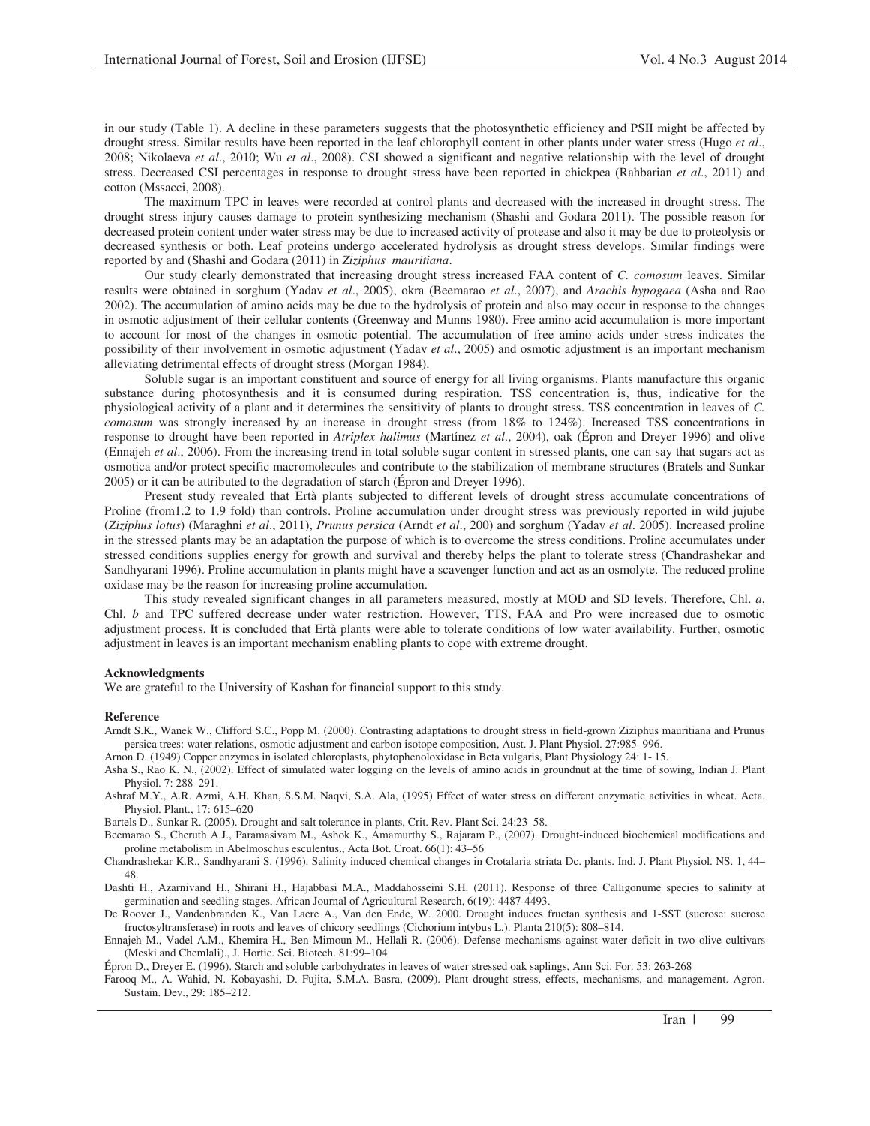in our study (Table 1). A decline in these parameters suggests that the photosynthetic efficiency and PSII might be affected by drought stress. Similar results have been reported in the leaf chlorophyll content in other plants under water stress (Hugo *et al*., 2008; Nikolaeva *et al*., 2010; Wu *et al*., 2008). CSI showed a significant and negative relationship with the level of drought stress. Decreased CSI percentages in response to drought stress have been reported in chickpea (Rahbarian *et al*., 2011) and cotton (Mssacci, 2008).

The maximum TPC in leaves were recorded at control plants and decreased with the increased in drought stress. The drought stress injury causes damage to protein synthesizing mechanism (Shashi and Godara 2011). The possible reason for decreased protein content under water stress may be due to increased activity of protease and also it may be due to proteolysis or decreased synthesis or both. Leaf proteins undergo accelerated hydrolysis as drought stress develops. Similar findings were reported by and (Shashi and Godara (2011) in *Ziziphus mauritiana*.

Our study clearly demonstrated that increasing drought stress increased FAA content of *C. comosum* leaves. Similar results were obtained in sorghum (Yadav *et al*., 2005), okra (Beemarao *et al*., 2007), and *Arachis hypogaea* (Asha and Rao 2002). The accumulation of amino acids may be due to the hydrolysis of protein and also may occur in response to the changes in osmotic adjustment of their cellular contents (Greenway and Munns 1980). Free amino acid accumulation is more important to account for most of the changes in osmotic potential. The accumulation of free amino acids under stress indicates the possibility of their involvement in osmotic adjustment (Yadav *et al*., 2005) and osmotic adjustment is an important mechanism alleviating detrimental effects of drought stress (Morgan 1984).

Soluble sugar is an important constituent and source of energy for all living organisms. Plants manufacture this organic substance during photosynthesis and it is consumed during respiration. TSS concentration is, thus, indicative for the physiological activity of a plant and it determines the sensitivity of plants to drought stress. TSS concentration in leaves of *C. comosum* was strongly increased by an increase in drought stress (from 18% to 124%). Increased TSS concentrations in response to drought have been reported in *Atriplex halimus* (Mart nez *et al*., 2004), oak (Épron and Dreyer 1996) and olive (Ennajeh *et al*., 2006). From the increasing trend in total soluble sugar content in stressed plants, one can say that sugars act as osmotica and/or protect specific macromolecules and contribute to the stabilization of membrane structures (Bratels and Sunkar 2005) or it can be attributed to the degradation of starch (Épron and Dreyer 1996).

Present study revealed that Ertà plants subjected to different levels of drought stress accumulate concentrations of Proline (from1.2 to 1.9 fold) than controls. Proline accumulation under drought stress was previously reported in wild jujube (*Ziziphus lotus*) (Maraghni *et al*., 2011), *Prunus persica* (Arndt *et al*., 200) and sorghum (Yadav *et al*. 2005). Increased proline in the stressed plants may be an adaptation the purpose of which is to overcome the stress conditions. Proline accumulates under stressed conditions supplies energy for growth and survival and thereby helps the plant to tolerate stress (Chandrashekar and Sandhyarani 1996). Proline accumulation in plants might have a scavenger function and act as an osmolyte. The reduced proline oxidase may be the reason for increasing proline accumulation.

This study revealed significant changes in all parameters measured, mostly at MOD and SD levels. Therefore, Chl. *a*, Chl. *b* and TPC suffered decrease under water restriction. However, TTS, FAA and Pro were increased due to osmotic adjustment process. It is concluded that Ertà plants were able to tolerate conditions of low water availability. Further, osmotic adjustment in leaves is an important mechanism enabling plants to cope with extreme drought.

#### **Acknowledgments**

We are grateful to the University of Kashan for financial support to this study.

#### **Reference**

- Arndt S.K., Wanek W., Clifford S.C., Popp M. (2000). Contrasting adaptations to drought stress in field-grown Ziziphus mauritiana and Prunus persica trees: water relations, osmotic adjustment and carbon isotope composition, Aust. J. Plant Physiol. 27:985–996.
- Arnon D. (1949) Copper enzymes in isolated chloroplasts, phytophenoloxidase in Beta vulgaris, Plant Physiology 24: 1- 15.
- Asha S., Rao K. N., (2002). Effect of simulated water logging on the levels of amino acids in groundnut at the time of sowing, Indian J. Plant Physiol. 7: 288–291.
- Ashraf M.Y., A.R. Azmi, A.H. Khan, S.S.M. Naqvi, S.A. Ala, (1995) Effect of water stress on different enzymatic activities in wheat. Acta. Physiol. Plant., 17: 615–620
- Bartels D., Sunkar R. (2005). Drought and salt tolerance in plants, Crit. Rev. Plant Sci. 24:23–58.
- Beemarao S., Cheruth A.J., Paramasivam M., Ashok K., Amamurthy S., Rajaram P., (2007). Drought-induced biochemical modifications and proline metabolism in Abelmoschus esculentus., Acta Bot. Croat. 66(1): 43–56
- Chandrashekar K.R., Sandhyarani S. (1996). Salinity induced chemical changes in Crotalaria striata Dc. plants. Ind. J. Plant Physiol. NS. 1, 44– 48.
- Dashti H., Azarnivand H., Shirani H., Hajabbasi M.A., Maddahosseini S.H. (2011). Response of three Calligonume species to salinity at germination and seedling stages, African Journal of Agricultural Research, 6(19): 4487-4493.
- De Roover J., Vandenbranden K., Van Laere A., Van den Ende, W. 2000. Drought induces fructan synthesis and 1-SST (sucrose: sucrose fructosyltransferase) in roots and leaves of chicory seedlings (Cichorium intybus L.). Planta 210(5): 808–814.
- Ennajeh M., Vadel A.M., Khemira H., Ben Mimoun M., Hellali R. (2006). Defense mechanisms against water deficit in two olive cultivars (Meski and Chemlali)., J. Hortic. Sci. Biotech. 81:99–104

Épron D., Dreyer E. (1996). Starch and soluble carbohydrates in leaves of water stressed oak saplings, Ann Sci. For. 53: 263-268

Farooq M., A. Wahid, N. Kobayashi, D. Fujita, S.M.A. Basra, (2009). Plant drought stress, effects, mechanisms, and management. Agron. Sustain. Dev., 29: 185–212.